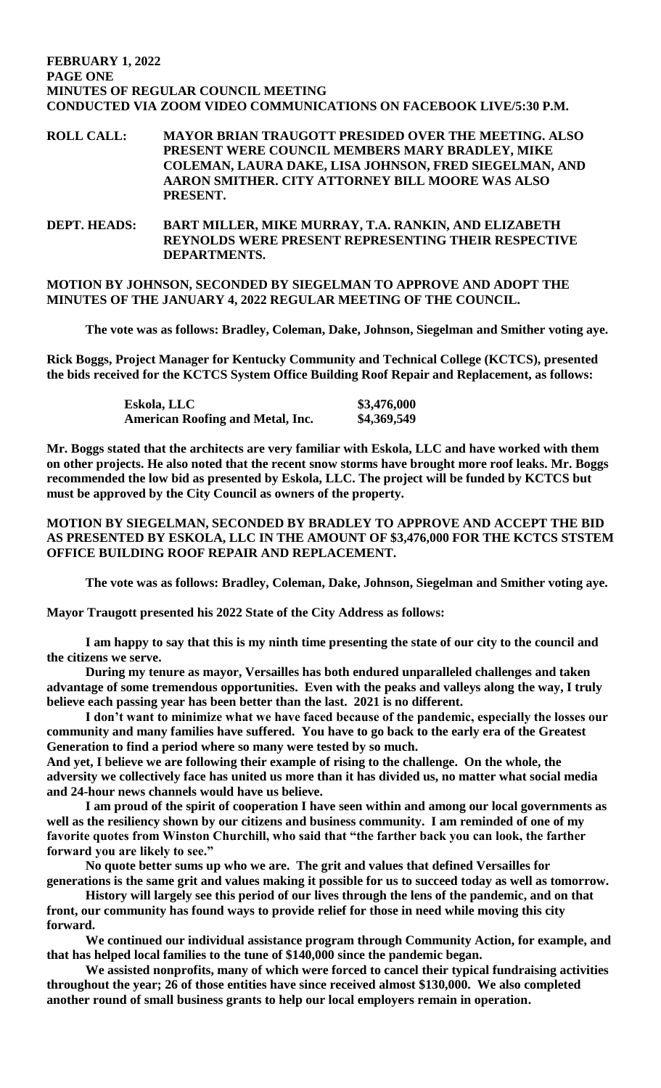#### **FEBRUARY 1, 2022 PAGE ONE MINUTES OF REGULAR COUNCIL MEETING CONDUCTED VIA ZOOM VIDEO COMMUNICATIONS ON FACEBOOK LIVE/5:30 P.M.**

**ROLL CALL: MAYOR BRIAN TRAUGOTT PRESIDED OVER THE MEETING. ALSO PRESENT WERE COUNCIL MEMBERS MARY BRADLEY, MIKE COLEMAN, LAURA DAKE, LISA JOHNSON, FRED SIEGELMAN, AND AARON SMITHER. CITY ATTORNEY BILL MOORE WAS ALSO PRESENT.**

**DEPT. HEADS: BART MILLER, MIKE MURRAY, T.A. RANKIN, AND ELIZABETH REYNOLDS WERE PRESENT REPRESENTING THEIR RESPECTIVE DEPARTMENTS.** 

**MOTION BY JOHNSON, SECONDED BY SIEGELMAN TO APPROVE AND ADOPT THE MINUTES OF THE JANUARY 4, 2022 REGULAR MEETING OF THE COUNCIL.**

**The vote was as follows: Bradley, Coleman, Dake, Johnson, Siegelman and Smither voting aye.**

**Rick Boggs, Project Manager for Kentucky Community and Technical College (KCTCS), presented the bids received for the KCTCS System Office Building Roof Repair and Replacement, as follows:**

| Eskola, LLC                             | \$3,476,000 |
|-----------------------------------------|-------------|
| <b>American Roofing and Metal, Inc.</b> | \$4,369,549 |

**Mr. Boggs stated that the architects are very familiar with Eskola, LLC and have worked with them on other projects. He also noted that the recent snow storms have brought more roof leaks. Mr. Boggs recommended the low bid as presented by Eskola, LLC. The project will be funded by KCTCS but must be approved by the City Council as owners of the property.** 

# **MOTION BY SIEGELMAN, SECONDED BY BRADLEY TO APPROVE AND ACCEPT THE BID AS PRESENTED BY ESKOLA, LLC IN THE AMOUNT OF \$3,476,000 FOR THE KCTCS STSTEM OFFICE BUILDING ROOF REPAIR AND REPLACEMENT.**

**The vote was as follows: Bradley, Coleman, Dake, Johnson, Siegelman and Smither voting aye.** 

**Mayor Traugott presented his 2022 State of the City Address as follows:**

**I am happy to say that this is my ninth time presenting the state of our city to the council and the citizens we serve.**

**During my tenure as mayor, Versailles has both endured unparalleled challenges and taken advantage of some tremendous opportunities. Even with the peaks and valleys along the way, I truly believe each passing year has been better than the last. 2021 is no different.**

**I don't want to minimize what we have faced because of the pandemic, especially the losses our community and many families have suffered. You have to go back to the early era of the Greatest Generation to find a period where so many were tested by so much.**

**And yet, I believe we are following their example of rising to the challenge. On the whole, the adversity we collectively face has united us more than it has divided us, no matter what social media and 24-hour news channels would have us believe.**

**I am proud of the spirit of cooperation I have seen within and among our local governments as well as the resiliency shown by our citizens and business community. I am reminded of one of my favorite quotes from Winston Churchill, who said that "the farther back you can look, the farther forward you are likely to see."**

**No quote better sums up who we are. The grit and values that defined Versailles for generations is the same grit and values making it possible for us to succeed today as well as tomorrow.**

**History will largely see this period of our lives through the lens of the pandemic, and on that front, our community has found ways to provide relief for those in need while moving this city forward.**

**We continued our individual assistance program through Community Action, for example, and that has helped local families to the tune of \$140,000 since the pandemic began.** 

**We assisted nonprofits, many of which were forced to cancel their typical fundraising activities throughout the year; 26 of those entities have since received almost \$130,000. We also completed another round of small business grants to help our local employers remain in operation.**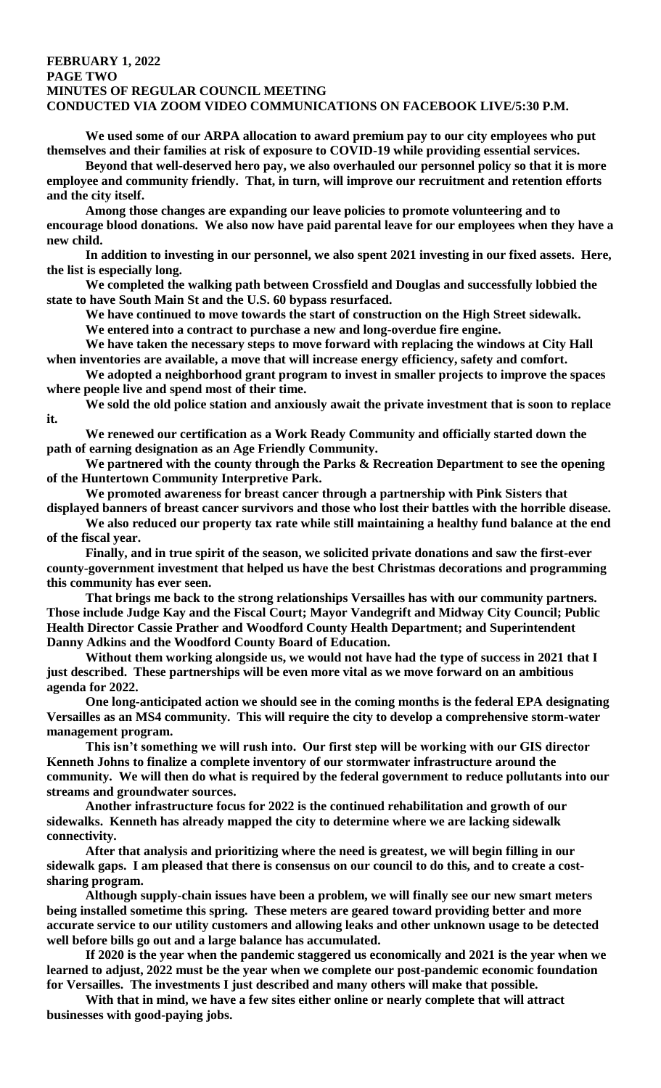#### **FEBRUARY 1, 2022 PAGE TWO MINUTES OF REGULAR COUNCIL MEETING CONDUCTED VIA ZOOM VIDEO COMMUNICATIONS ON FACEBOOK LIVE/5:30 P.M.**

**We used some of our ARPA allocation to award premium pay to our city employees who put themselves and their families at risk of exposure to COVID-19 while providing essential services.**

**Beyond that well-deserved hero pay, we also overhauled our personnel policy so that it is more employee and community friendly. That, in turn, will improve our recruitment and retention efforts and the city itself.**

**Among those changes are expanding our leave policies to promote volunteering and to encourage blood donations. We also now have paid parental leave for our employees when they have a new child.** 

**In addition to investing in our personnel, we also spent 2021 investing in our fixed assets. Here, the list is especially long.**

**We completed the walking path between Crossfield and Douglas and successfully lobbied the state to have South Main St and the U.S. 60 bypass resurfaced.**

**We have continued to move towards the start of construction on the High Street sidewalk.**

**We entered into a contract to purchase a new and long-overdue fire engine.**

**We have taken the necessary steps to move forward with replacing the windows at City Hall when inventories are available, a move that will increase energy efficiency, safety and comfort.**

**We adopted a neighborhood grant program to invest in smaller projects to improve the spaces where people live and spend most of their time.** 

**We sold the old police station and anxiously await the private investment that is soon to replace it.**

**We renewed our certification as a Work Ready Community and officially started down the path of earning designation as an Age Friendly Community.** 

**We partnered with the county through the Parks & Recreation Department to see the opening of the Huntertown Community Interpretive Park.**

**We promoted awareness for breast cancer through a partnership with Pink Sisters that displayed banners of breast cancer survivors and those who lost their battles with the horrible disease.**

**We also reduced our property tax rate while still maintaining a healthy fund balance at the end of the fiscal year.**

**Finally, and in true spirit of the season, we solicited private donations and saw the first-ever county-government investment that helped us have the best Christmas decorations and programming this community has ever seen.** 

**That brings me back to the strong relationships Versailles has with our community partners. Those include Judge Kay and the Fiscal Court; Mayor Vandegrift and Midway City Council; Public Health Director Cassie Prather and Woodford County Health Department; and Superintendent Danny Adkins and the Woodford County Board of Education.**

**Without them working alongside us, we would not have had the type of success in 2021 that I just described. These partnerships will be even more vital as we move forward on an ambitious agenda for 2022.** 

**One long-anticipated action we should see in the coming months is the federal EPA designating Versailles as an MS4 community. This will require the city to develop a comprehensive storm-water management program.**

**This isn't something we will rush into. Our first step will be working with our GIS director Kenneth Johns to finalize a complete inventory of our stormwater infrastructure around the community. We will then do what is required by the federal government to reduce pollutants into our streams and groundwater sources.** 

**Another infrastructure focus for 2022 is the continued rehabilitation and growth of our sidewalks. Kenneth has already mapped the city to determine where we are lacking sidewalk connectivity.**

**After that analysis and prioritizing where the need is greatest, we will begin filling in our sidewalk gaps. I am pleased that there is consensus on our council to do this, and to create a costsharing program.**

**Although supply-chain issues have been a problem, we will finally see our new smart meters being installed sometime this spring. These meters are geared toward providing better and more accurate service to our utility customers and allowing leaks and other unknown usage to be detected well before bills go out and a large balance has accumulated.** 

**If 2020 is the year when the pandemic staggered us economically and 2021 is the year when we learned to adjust, 2022 must be the year when we complete our post-pandemic economic foundation for Versailles. The investments I just described and many others will make that possible.**

**With that in mind, we have a few sites either online or nearly complete that will attract businesses with good-paying jobs.**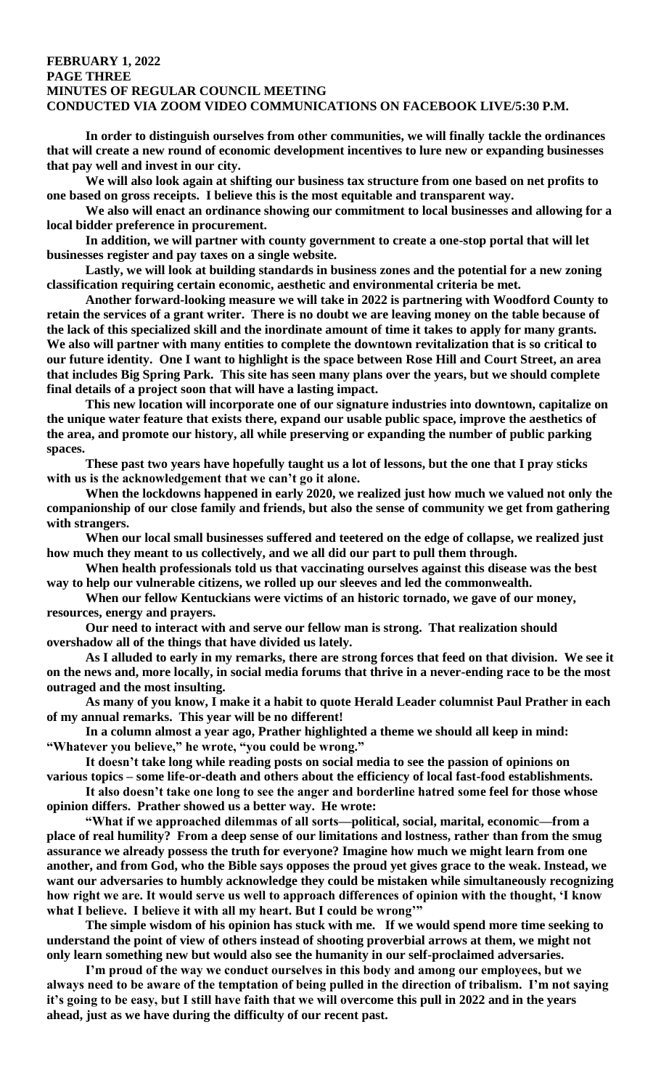#### **FEBRUARY 1, 2022 PAGE THREE MINUTES OF REGULAR COUNCIL MEETING CONDUCTED VIA ZOOM VIDEO COMMUNICATIONS ON FACEBOOK LIVE/5:30 P.M.**

**In order to distinguish ourselves from other communities, we will finally tackle the ordinances that will create a new round of economic development incentives to lure new or expanding businesses that pay well and invest in our city.**

**We will also look again at shifting our business tax structure from one based on net profits to one based on gross receipts. I believe this is the most equitable and transparent way.**

**We also will enact an ordinance showing our commitment to local businesses and allowing for a local bidder preference in procurement.**

**In addition, we will partner with county government to create a one-stop portal that will let businesses register and pay taxes on a single website.**

**Lastly, we will look at building standards in business zones and the potential for a new zoning classification requiring certain economic, aesthetic and environmental criteria be met.** 

**Another forward-looking measure we will take in 2022 is partnering with Woodford County to retain the services of a grant writer. There is no doubt we are leaving money on the table because of the lack of this specialized skill and the inordinate amount of time it takes to apply for many grants. We also will partner with many entities to complete the downtown revitalization that is so critical to our future identity. One I want to highlight is the space between Rose Hill and Court Street, an area that includes Big Spring Park. This site has seen many plans over the years, but we should complete final details of a project soon that will have a lasting impact.**

**This new location will incorporate one of our signature industries into downtown, capitalize on the unique water feature that exists there, expand our usable public space, improve the aesthetics of the area, and promote our history, all while preserving or expanding the number of public parking spaces.** 

**These past two years have hopefully taught us a lot of lessons, but the one that I pray sticks with us is the acknowledgement that we can't go it alone.**

**When the lockdowns happened in early 2020, we realized just how much we valued not only the companionship of our close family and friends, but also the sense of community we get from gathering with strangers.**

**When our local small businesses suffered and teetered on the edge of collapse, we realized just how much they meant to us collectively, and we all did our part to pull them through.**

**When health professionals told us that vaccinating ourselves against this disease was the best way to help our vulnerable citizens, we rolled up our sleeves and led the commonwealth.**

**When our fellow Kentuckians were victims of an historic tornado, we gave of our money, resources, energy and prayers.**

**Our need to interact with and serve our fellow man is strong. That realization should overshadow all of the things that have divided us lately.** 

**As I alluded to early in my remarks, there are strong forces that feed on that division. We see it on the news and, more locally, in social media forums that thrive in a never-ending race to be the most outraged and the most insulting.** 

**As many of you know, I make it a habit to quote Herald Leader columnist Paul Prather in each of my annual remarks. This year will be no different!** 

**In a column almost a year ago, Prather highlighted a theme we should all keep in mind: "Whatever you believe," he wrote, "you could be wrong."**

**It doesn't take long while reading posts on social media to see the passion of opinions on various topics – some life-or-death and others about the efficiency of local fast-food establishments.**

**It also doesn't take one long to see the anger and borderline hatred some feel for those whose opinion differs. Prather showed us a better way. He wrote:**

**"What if we approached dilemmas of all sorts—political, social, marital, economic—from a place of real humility? From a deep sense of our limitations and lostness, rather than from the smug assurance we already possess the truth for everyone? Imagine how much we might learn from one another, and from God, who the Bible says opposes the proud yet gives grace to the weak. Instead, we want our adversaries to humbly acknowledge they could be mistaken while simultaneously recognizing how right we are. It would serve us well to approach differences of opinion with the thought, 'I know what I believe. I believe it with all my heart. But I could be wrong'"**

**The simple wisdom of his opinion has stuck with me. If we would spend more time seeking to understand the point of view of others instead of shooting proverbial arrows at them, we might not only learn something new but would also see the humanity in our self-proclaimed adversaries.**

**I'm proud of the way we conduct ourselves in this body and among our employees, but we always need to be aware of the temptation of being pulled in the direction of tribalism. I'm not saying it's going to be easy, but I still have faith that we will overcome this pull in 2022 and in the years ahead, just as we have during the difficulty of our recent past.**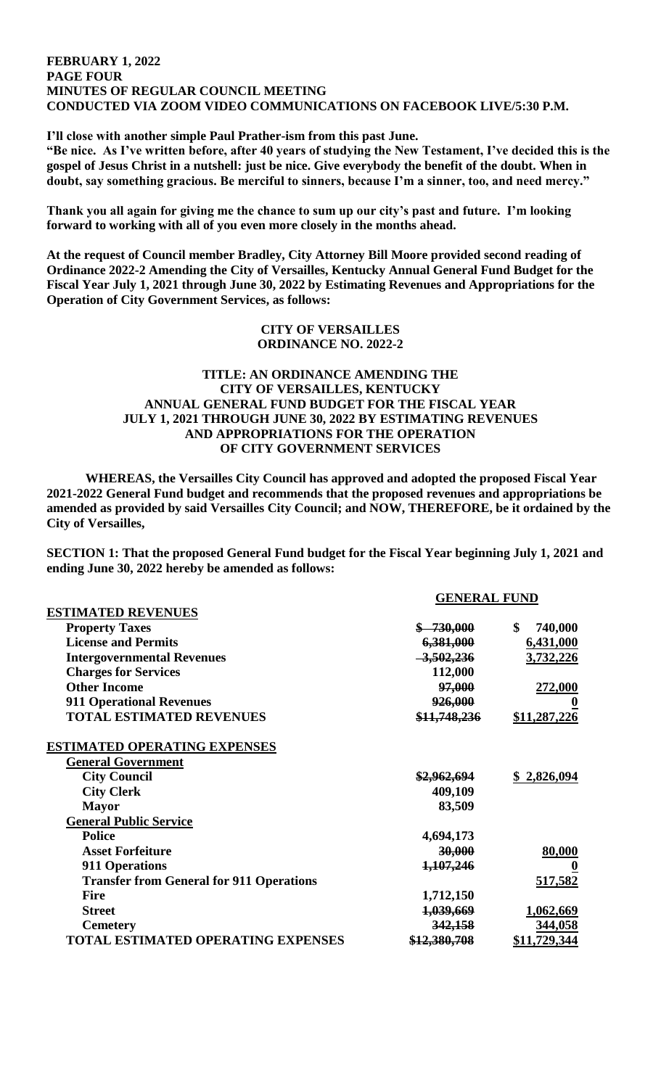#### **FEBRUARY 1, 2022 PAGE FOUR MINUTES OF REGULAR COUNCIL MEETING CONDUCTED VIA ZOOM VIDEO COMMUNICATIONS ON FACEBOOK LIVE/5:30 P.M.**

**I'll close with another simple Paul Prather-ism from this past June.**

**"Be nice. As I've written before, after 40 years of studying the New Testament, I've decided this is the gospel of Jesus Christ in a nutshell: just be nice. Give everybody the benefit of the doubt. When in doubt, say something gracious. Be merciful to sinners, because I'm a sinner, too, and need mercy."**

**Thank you all again for giving me the chance to sum up our city's past and future. I'm looking forward to working with all of you even more closely in the months ahead.**

**At the request of Council member Bradley, City Attorney Bill Moore provided second reading of Ordinance 2022-2 Amending the City of Versailles, Kentucky Annual General Fund Budget for the Fiscal Year July 1, 2021 through June 30, 2022 by Estimating Revenues and Appropriations for the Operation of City Government Services, as follows:**

#### **CITY OF VERSAILLES ORDINANCE NO. 2022-2**

# **TITLE: AN ORDINANCE AMENDING THE CITY OF VERSAILLES, KENTUCKY ANNUAL GENERAL FUND BUDGET FOR THE FISCAL YEAR JULY 1, 2021 THROUGH JUNE 30, 2022 BY ESTIMATING REVENUES AND APPROPRIATIONS FOR THE OPERATION OF CITY GOVERNMENT SERVICES**

**WHEREAS, the Versailles City Council has approved and adopted the proposed Fiscal Year 2021-2022 General Fund budget and recommends that the proposed revenues and appropriations be amended as provided by said Versailles City Council; and NOW, THEREFORE, be it ordained by the City of Versailles,**

**SECTION 1: That the proposed General Fund budget for the Fiscal Year beginning July 1, 2021 and ending June 30, 2022 hereby be amended as follows:**

|                                                 | <b>GENERAL FUND</b> |               |
|-------------------------------------------------|---------------------|---------------|
| <b>ESTIMATED REVENUES</b>                       |                     |               |
| <b>Property Taxes</b>                           | $$ -730,000$        | \$<br>740,000 |
| <b>License and Permits</b>                      | 6,381,000           | 6,431,000     |
| <b>Intergovernmental Revenues</b>               | $-3,502,236$        | 3,732,226     |
| <b>Charges for Services</b>                     | 112,000             |               |
| <b>Other Income</b>                             | 97,000              | 272,000       |
| <b>911 Operational Revenues</b>                 | 926,000             |               |
| <b>TOTAL ESTIMATED REVENUES</b>                 | \$11,748,236        | \$11,287,226  |
| <b>ESTIMATED OPERATING EXPENSES</b>             |                     |               |
| <b>General Government</b>                       |                     |               |
| <b>City Council</b>                             | \$2,962,694         | \$2,826,094   |
| <b>City Clerk</b>                               | 409,109             |               |
| <b>Mayor</b>                                    | 83,509              |               |
| <b>General Public Service</b>                   |                     |               |
| <b>Police</b>                                   | 4,694,173           |               |
| <b>Asset Forfeiture</b>                         | 30,000              | 80,000        |
| <b>911 Operations</b>                           | 1,107,246           |               |
| <b>Transfer from General for 911 Operations</b> |                     | 517,582       |
| <b>Fire</b>                                     | 1,712,150           |               |
| <b>Street</b>                                   | 1,039,669           | 1,062,669     |
| <b>Cemetery</b>                                 | 342,158             | 344,058       |
| <b>TOTAL ESTIMATED OPERATING EXPENSES</b>       | \$12,380,708        | \$11,729,344  |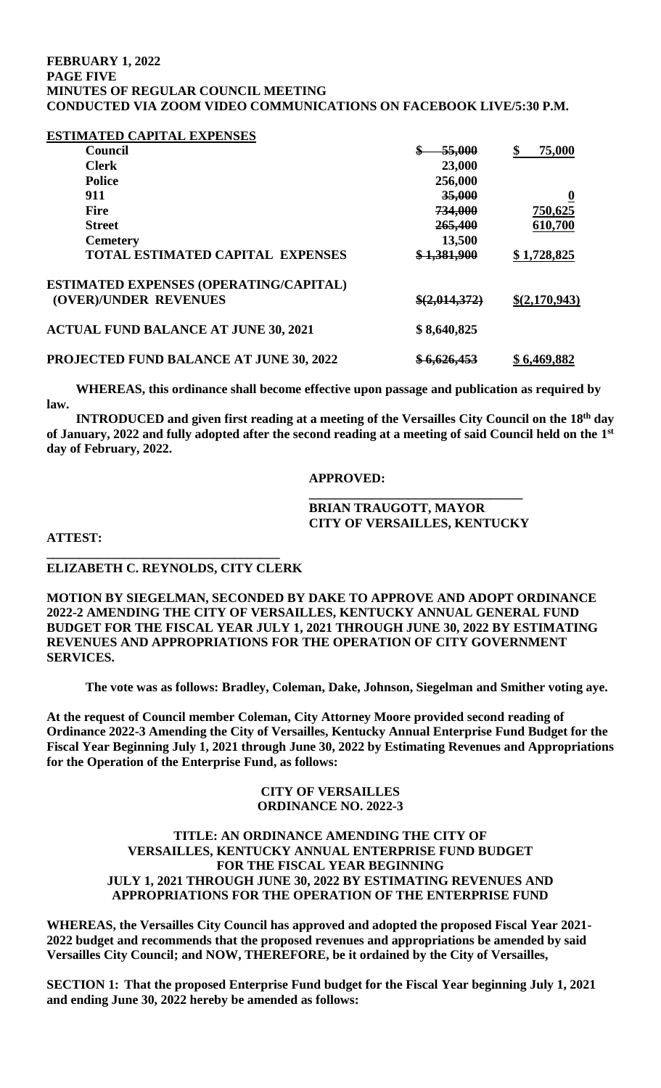#### **FEBRUARY 1, 2022 PAGE FIVE MINUTES OF REGULAR COUNCIL MEETING CONDUCTED VIA ZOOM VIDEO COMMUNICATIONS ON FACEBOOK LIVE/5:30 P.M.**

#### **ESTIMATED CAPITAL EXPENSES**

| <b>Council</b>                                 | 55,000                  | 75,000                  |
|------------------------------------------------|-------------------------|-------------------------|
| <b>Clerk</b>                                   | 23,000                  |                         |
| <b>Police</b>                                  | 256,000                 |                         |
| 911                                            | 35,000                  | $\overline{\mathbf{0}}$ |
| <b>Fire</b>                                    | 734,000                 | 750,625                 |
| <b>Street</b>                                  | 265,400                 | 610,700                 |
| <b>Cemetery</b>                                | 13,500                  |                         |
| <b>TOTAL ESTIMATED CAPITAL EXPENSES</b>        | \$1,381,900             | \$1,728,825             |
| ESTIMATED EXPENSES (OPERATING/CAPITAL)         |                         |                         |
| (OVER)/UNDER REVENUES                          | \$(2,014,372)           | \$(2,170,943)           |
| <b>ACTUAL FUND BALANCE AT JUNE 30, 2021</b>    | \$8,640,825             |                         |
| <b>PROJECTED FUND BALANCE AT JUNE 30, 2022</b> | <del>\$ 6,626,453</del> | \$6,469,882             |

 **WHEREAS, this ordinance shall become effective upon passage and publication as required by law.**

**INTRODUCED and given first reading at a meeting of the Versailles City Council on the 18th day of January, 2022 and fully adopted after the second reading at a meeting of said Council held on the 1 st day of February, 2022.**

#### **APPROVED:**

#### **\_\_\_\_\_\_\_\_\_\_\_\_\_\_\_\_\_\_\_\_\_\_\_\_\_\_\_\_\_\_\_\_\_ BRIAN TRAUGOTT, MAYOR CITY OF VERSAILLES, KENTUCKY**

**ATTEST:**

# **ELIZABETH C. REYNOLDS, CITY CLERK**

**\_\_\_\_\_\_\_\_\_\_\_\_\_\_\_\_\_\_\_\_\_\_\_\_\_\_\_\_\_\_\_\_\_\_\_\_**

**MOTION BY SIEGELMAN, SECONDED BY DAKE TO APPROVE AND ADOPT ORDINANCE 2022-2 AMENDING THE CITY OF VERSAILLES, KENTUCKY ANNUAL GENERAL FUND BUDGET FOR THE FISCAL YEAR JULY 1, 2021 THROUGH JUNE 30, 2022 BY ESTIMATING REVENUES AND APPROPRIATIONS FOR THE OPERATION OF CITY GOVERNMENT SERVICES.** 

**The vote was as follows: Bradley, Coleman, Dake, Johnson, Siegelman and Smither voting aye.** 

**At the request of Council member Coleman, City Attorney Moore provided second reading of Ordinance 2022-3 Amending the City of Versailles, Kentucky Annual Enterprise Fund Budget for the Fiscal Year Beginning July 1, 2021 through June 30, 2022 by Estimating Revenues and Appropriations for the Operation of the Enterprise Fund, as follows:**

#### **CITY OF VERSAILLES ORDINANCE NO. 2022-3**

# **TITLE: AN ORDINANCE AMENDING THE CITY OF VERSAILLES, KENTUCKY ANNUAL ENTERPRISE FUND BUDGET FOR THE FISCAL YEAR BEGINNING JULY 1, 2021 THROUGH JUNE 30, 2022 BY ESTIMATING REVENUES AND APPROPRIATIONS FOR THE OPERATION OF THE ENTERPRISE FUND**

**WHEREAS, the Versailles City Council has approved and adopted the proposed Fiscal Year 2021- 2022 budget and recommends that the proposed revenues and appropriations be amended by said Versailles City Council; and NOW, THEREFORE, be it ordained by the City of Versailles,**

**SECTION 1: That the proposed Enterprise Fund budget for the Fiscal Year beginning July 1, 2021 and ending June 30, 2022 hereby be amended as follows:**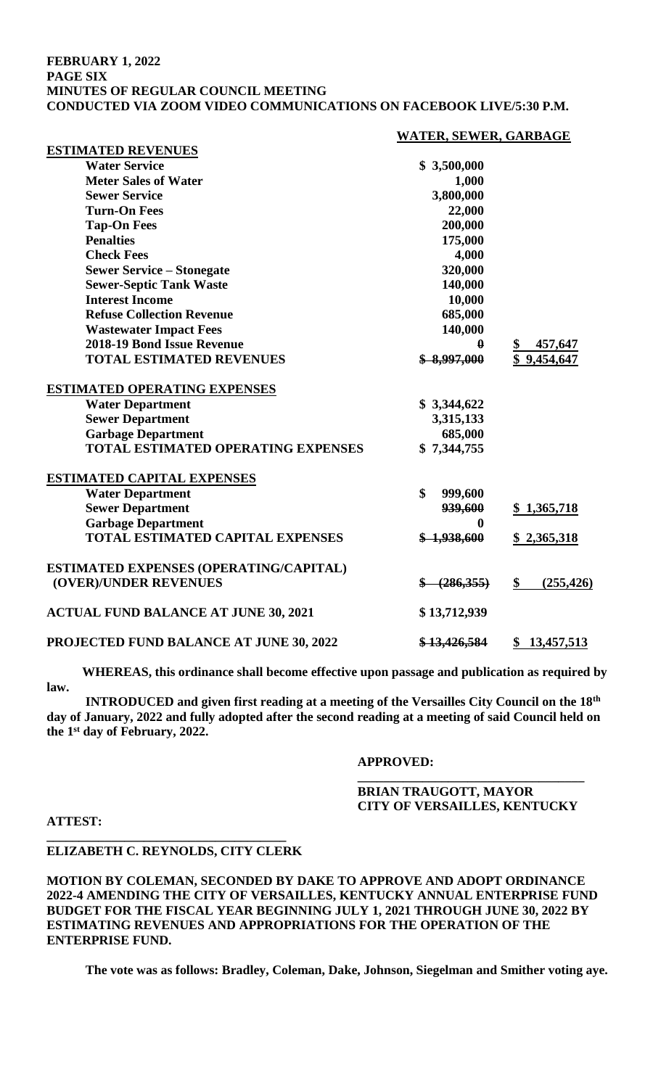#### **FEBRUARY 1, 2022 PAGE SIX MINUTES OF REGULAR COUNCIL MEETING CONDUCTED VIA ZOOM VIDEO COMMUNICATIONS ON FACEBOOK LIVE/5:30 P.M.**

#### **WATER, SEWER, GARBAGE**

| ESTIMATED KE VENUES                            |                         |                  |
|------------------------------------------------|-------------------------|------------------|
| <b>Water Service</b>                           | \$3,500,000             |                  |
| <b>Meter Sales of Water</b>                    | 1,000                   |                  |
| <b>Sewer Service</b>                           | 3,800,000               |                  |
| <b>Turn-On Fees</b>                            | 22,000                  |                  |
| <b>Tap-On Fees</b>                             | 200,000                 |                  |
| <b>Penalties</b>                               | 175,000                 |                  |
| <b>Check Fees</b>                              | 4,000                   |                  |
| <b>Sewer Service - Stonegate</b>               | 320,000                 |                  |
| <b>Sewer-Septic Tank Waste</b>                 | 140,000                 |                  |
| <b>Interest Income</b>                         | 10,000                  |                  |
| <b>Refuse Collection Revenue</b>               | 685,000                 |                  |
| <b>Wastewater Impact Fees</b>                  | 140,000                 |                  |
| 2018-19 Bond Issue Revenue                     | $\theta$                | 457,647<br>\$    |
| <b>TOTAL ESTIMATED REVENUES</b>                | \$8,997,000             | \$9,454,647      |
| <b>ESTIMATED OPERATING EXPENSES</b>            |                         |                  |
| <b>Water Department</b>                        | \$3,344,622             |                  |
| <b>Sewer Department</b>                        | 3,315,133               |                  |
| <b>Garbage Department</b>                      | 685,000                 |                  |
| <b>TOTAL ESTIMATED OPERATING EXPENSES</b>      | \$7,344,755             |                  |
| <b>ESTIMATED CAPITAL EXPENSES</b>              |                         |                  |
| <b>Water Department</b>                        | \$<br>999,600           |                  |
| <b>Sewer Department</b>                        | 939,600                 | \$1,365,718      |
| <b>Garbage Department</b>                      | $\boldsymbol{0}$        |                  |
| <b>TOTAL ESTIMATED CAPITAL EXPENSES</b>        | \$1,938,600             | \$2,365,318      |
| <b>ESTIMATED EXPENSES (OPERATING/CAPITAL)</b>  |                         |                  |
| (OVER)/UNDER REVENUES                          | $\frac{6}{5}$ (286,355) | \$<br>(255, 426) |
| <b>ACTUAL FUND BALANCE AT JUNE 30, 2021</b>    | \$13,712,939            |                  |
| <b>PROJECTED FUND BALANCE AT JUNE 30, 2022</b> | \$13,426,584            | \$13,457,513     |
|                                                |                         |                  |

 **WHEREAS, this ordinance shall become effective upon passage and publication as required by law.** 

**INTRODUCED and given first reading at a meeting of the Versailles City Council on the 18th day of January, 2022 and fully adopted after the second reading at a meeting of said Council held on the 1st day of February, 2022.** 

# **APPROVED:**

# **BRIAN TRAUGOTT, MAYOR CITY OF VERSAILLES, KENTUCKY**

**\_\_\_\_\_\_\_\_\_\_\_\_\_\_\_\_\_\_\_\_\_\_\_\_\_\_\_\_\_\_\_\_\_\_\_**

#### **ATTEST:**

**ESTIMATED REVENUES**

# **ELIZABETH C. REYNOLDS, CITY CLERK**

**\_\_\_\_\_\_\_\_\_\_\_\_\_\_\_\_\_\_\_\_\_\_\_\_\_\_\_\_\_\_\_\_\_\_\_\_\_**

**MOTION BY COLEMAN, SECONDED BY DAKE TO APPROVE AND ADOPT ORDINANCE 2022-4 AMENDING THE CITY OF VERSAILLES, KENTUCKY ANNUAL ENTERPRISE FUND BUDGET FOR THE FISCAL YEAR BEGINNING JULY 1, 2021 THROUGH JUNE 30, 2022 BY ESTIMATING REVENUES AND APPROPRIATIONS FOR THE OPERATION OF THE ENTERPRISE FUND.** 

**The vote was as follows: Bradley, Coleman, Dake, Johnson, Siegelman and Smither voting aye.**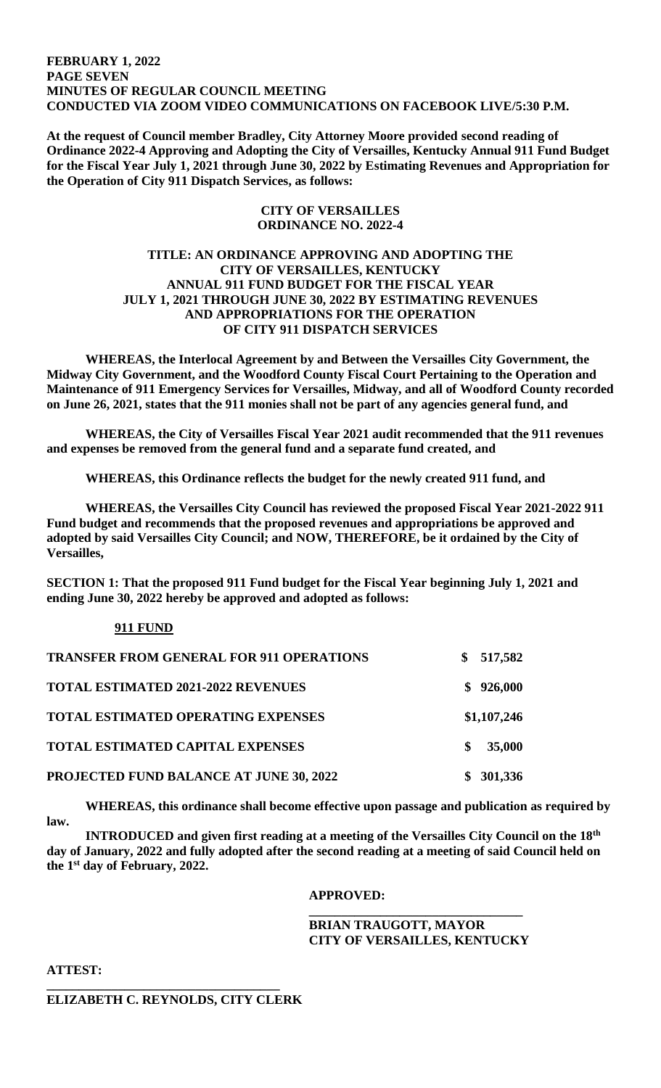#### **FEBRUARY 1, 2022 PAGE SEVEN MINUTES OF REGULAR COUNCIL MEETING CONDUCTED VIA ZOOM VIDEO COMMUNICATIONS ON FACEBOOK LIVE/5:30 P.M.**

**At the request of Council member Bradley, City Attorney Moore provided second reading of Ordinance 2022-4 Approving and Adopting the City of Versailles, Kentucky Annual 911 Fund Budget for the Fiscal Year July 1, 2021 through June 30, 2022 by Estimating Revenues and Appropriation for the Operation of City 911 Dispatch Services, as follows:**

### **CITY OF VERSAILLES ORDINANCE NO. 2022-4**

# **TITLE: AN ORDINANCE APPROVING AND ADOPTING THE CITY OF VERSAILLES, KENTUCKY ANNUAL 911 FUND BUDGET FOR THE FISCAL YEAR JULY 1, 2021 THROUGH JUNE 30, 2022 BY ESTIMATING REVENUES AND APPROPRIATIONS FOR THE OPERATION OF CITY 911 DISPATCH SERVICES**

**WHEREAS, the Interlocal Agreement by and Between the Versailles City Government, the Midway City Government, and the Woodford County Fiscal Court Pertaining to the Operation and Maintenance of 911 Emergency Services for Versailles, Midway, and all of Woodford County recorded on June 26, 2021, states that the 911 monies shall not be part of any agencies general fund, and**

**WHEREAS, the City of Versailles Fiscal Year 2021 audit recommended that the 911 revenues and expenses be removed from the general fund and a separate fund created, and**

**WHEREAS, this Ordinance reflects the budget for the newly created 911 fund, and** 

**WHEREAS, the Versailles City Council has reviewed the proposed Fiscal Year 2021-2022 911 Fund budget and recommends that the proposed revenues and appropriations be approved and adopted by said Versailles City Council; and NOW, THEREFORE, be it ordained by the City of Versailles,**

**SECTION 1: That the proposed 911 Fund budget for the Fiscal Year beginning July 1, 2021 and ending June 30, 2022 hereby be approved and adopted as follows:**

# **911 FUND**

| <b>TRANSFER FROM GENERAL FOR 911 OPERATIONS</b> |   | \$517,582   |
|-------------------------------------------------|---|-------------|
| <b>TOTAL ESTIMATED 2021-2022 REVENUES</b>       |   | \$926,000   |
| <b>TOTAL ESTIMATED OPERATING EXPENSES</b>       |   | \$1,107,246 |
| <b>TOTAL ESTIMATED CAPITAL EXPENSES</b>         | S | 35,000      |
| <b>PROJECTED FUND BALANCE AT JUNE 30, 2022</b>  |   | \$301,336   |

 **WHEREAS, this ordinance shall become effective upon passage and publication as required by law.**

**INTRODUCED and given first reading at a meeting of the Versailles City Council on the 18th day of January, 2022 and fully adopted after the second reading at a meeting of said Council held on the 1st day of February, 2022.** 

# **APPROVED:**

**BRIAN TRAUGOTT, MAYOR CITY OF VERSAILLES, KENTUCKY**

**\_\_\_\_\_\_\_\_\_\_\_\_\_\_\_\_\_\_\_\_\_\_\_\_\_\_\_\_\_\_\_\_\_**

**ATTEST:**

#### **\_\_\_\_\_\_\_\_\_\_\_\_\_\_\_\_\_\_\_\_\_\_\_\_\_\_\_\_\_\_\_\_\_\_\_\_ ELIZABETH C. REYNOLDS, CITY CLERK**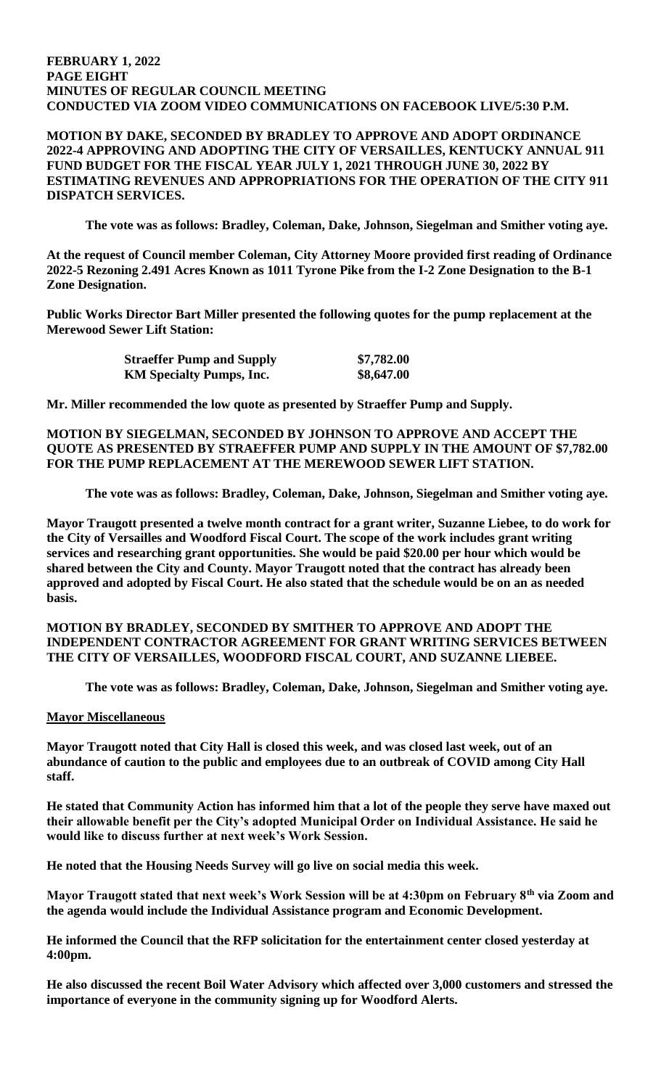#### **FEBRUARY 1, 2022 PAGE EIGHT MINUTES OF REGULAR COUNCIL MEETING CONDUCTED VIA ZOOM VIDEO COMMUNICATIONS ON FACEBOOK LIVE/5:30 P.M.**

# **MOTION BY DAKE, SECONDED BY BRADLEY TO APPROVE AND ADOPT ORDINANCE 2022-4 APPROVING AND ADOPTING THE CITY OF VERSAILLES, KENTUCKY ANNUAL 911 FUND BUDGET FOR THE FISCAL YEAR JULY 1, 2021 THROUGH JUNE 30, 2022 BY ESTIMATING REVENUES AND APPROPRIATIONS FOR THE OPERATION OF THE CITY 911 DISPATCH SERVICES.**

**The vote was as follows: Bradley, Coleman, Dake, Johnson, Siegelman and Smither voting aye.** 

**At the request of Council member Coleman, City Attorney Moore provided first reading of Ordinance 2022-5 Rezoning 2.491 Acres Known as 1011 Tyrone Pike from the I-2 Zone Designation to the B-1 Zone Designation.** 

**Public Works Director Bart Miller presented the following quotes for the pump replacement at the Merewood Sewer Lift Station:**

| <b>Straeffer Pump and Supply</b> | \$7,782.00 |
|----------------------------------|------------|
| <b>KM Specialty Pumps, Inc.</b>  | \$8,647.00 |

**Mr. Miller recommended the low quote as presented by Straeffer Pump and Supply.** 

**MOTION BY SIEGELMAN, SECONDED BY JOHNSON TO APPROVE AND ACCEPT THE QUOTE AS PRESENTED BY STRAEFFER PUMP AND SUPPLY IN THE AMOUNT OF \$7,782.00 FOR THE PUMP REPLACEMENT AT THE MEREWOOD SEWER LIFT STATION.** 

**The vote was as follows: Bradley, Coleman, Dake, Johnson, Siegelman and Smither voting aye.** 

**Mayor Traugott presented a twelve month contract for a grant writer, Suzanne Liebee, to do work for the City of Versailles and Woodford Fiscal Court. The scope of the work includes grant writing services and researching grant opportunities. She would be paid \$20.00 per hour which would be shared between the City and County. Mayor Traugott noted that the contract has already been approved and adopted by Fiscal Court. He also stated that the schedule would be on an as needed basis.** 

# **MOTION BY BRADLEY, SECONDED BY SMITHER TO APPROVE AND ADOPT THE INDEPENDENT CONTRACTOR AGREEMENT FOR GRANT WRITING SERVICES BETWEEN THE CITY OF VERSAILLES, WOODFORD FISCAL COURT, AND SUZANNE LIEBEE.**

**The vote was as follows: Bradley, Coleman, Dake, Johnson, Siegelman and Smither voting aye.** 

# **Mayor Miscellaneous**

**Mayor Traugott noted that City Hall is closed this week, and was closed last week, out of an abundance of caution to the public and employees due to an outbreak of COVID among City Hall staff.** 

**He stated that Community Action has informed him that a lot of the people they serve have maxed out their allowable benefit per the City's adopted Municipal Order on Individual Assistance. He said he would like to discuss further at next week's Work Session.** 

**He noted that the Housing Needs Survey will go live on social media this week.** 

**Mayor Traugott stated that next week's Work Session will be at 4:30pm on February 8th via Zoom and the agenda would include the Individual Assistance program and Economic Development.** 

**He informed the Council that the RFP solicitation for the entertainment center closed yesterday at 4:00pm.** 

**He also discussed the recent Boil Water Advisory which affected over 3,000 customers and stressed the importance of everyone in the community signing up for Woodford Alerts.**